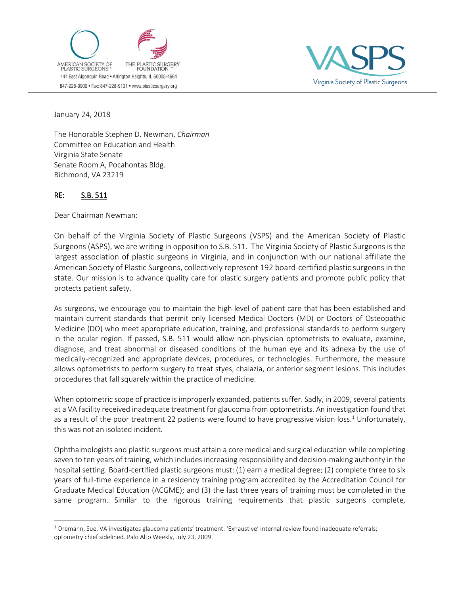



January 24, 2018

The Honorable Stephen D. Newman, *Chairman* Committee on Education and Health Virginia State Senate Senate Room A, Pocahontas Bldg. Richmond, VA 23219

## RE: S.B. 511

 $\overline{a}$ 

Dear Chairman Newman:

On behalf of the Virginia Society of Plastic Surgeons (VSPS) and the American Society of Plastic Surgeons (ASPS), we are writing in opposition to S.B. 511. The Virginia Society of Plastic Surgeons is the largest association of plastic surgeons in Virginia, and in conjunction with our national affiliate the American Society of Plastic Surgeons, collectively represent 192 board-certified plastic surgeons in the state. Our mission is to advance quality care for plastic surgery patients and promote public policy that protects patient safety.

As surgeons, we encourage you to maintain the high level of patient care that has been established and maintain current standards that permit only licensed Medical Doctors (MD) or Doctors of Osteopathic Medicine (DO) who meet appropriate education, training, and professional standards to perform surgery in the ocular region. If passed, S.B. 511 would allow non-physician optometrists to evaluate, examine, diagnose, and treat abnormal or diseased conditions of the human eye and its adnexa by the use of medically-recognized and appropriate devices, procedures, or technologies. Furthermore, the measure allows optometrists to perform surgery to treat styes, chalazia, or anterior segment lesions. This includes procedures that fall squarely within the practice of medicine.

When optometric scope of practice is improperly expanded, patients suffer. Sadly, in 2009, several patients at a VA facility received inadequate treatment for glaucoma from optometrists. An investigation found that as a result of the poor treatment 22 patients were found to have progressive vision loss.<sup>1</sup> Unfortunately, this was not an isolated incident.

Ophthalmologists and plastic surgeons must attain a core medical and surgical education while completing seven to ten years of training, which includes increasing responsibility and decision-making authority in the hospital setting. Board-certified plastic surgeons must: (1) earn a medical degree; (2) complete three to six years of full-time experience in a residency training program accredited by the Accreditation Council for Graduate Medical Education (ACGME); and (3) the last three years of training must be completed in the same program. Similar to the rigorous training requirements that plastic surgeons complete,

<sup>&</sup>lt;sup>1</sup> Dremann, Sue. VA investigates glaucoma patients' treatment: 'Exhaustive' internal review found inadequate referrals; optometry chief sidelined. Palo Alto Weekly, July 23, 2009.